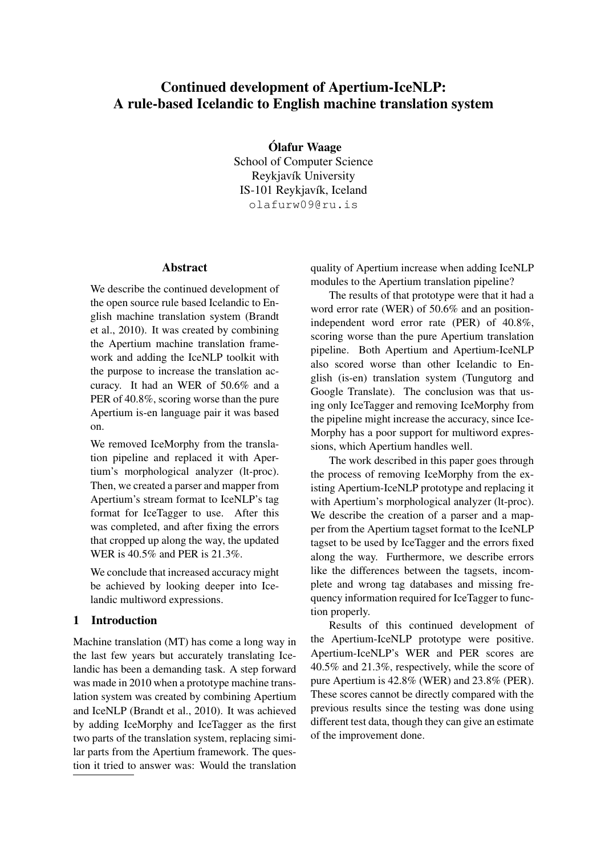# Continued development of Apertium-IceNLP: A rule-based Icelandic to English machine translation system

Ólafur Waage School of Computer Science Reykjavík University IS-101 Reykjavík, Iceland olafurw09@ru.is

#### Abstract

We describe the continued development of the open source rule based Icelandic to English machine translation system (Brandt et al., 2010). It was created by combining the Apertium machine translation framework and adding the IceNLP toolkit with the purpose to increase the translation accuracy. It had an WER of 50.6% and a PER of 40.8%, scoring worse than the pure Apertium is-en language pair it was based on.

We removed IceMorphy from the translation pipeline and replaced it with Apertium's morphological analyzer (lt-proc). Then, we created a parser and mapper from Apertium's stream format to IceNLP's tag format for IceTagger to use. After this was completed, and after fixing the errors that cropped up along the way, the updated WER is 40.5% and PER is 21.3%.

We conclude that increased accuracy might be achieved by looking deeper into Icelandic multiword expressions.

## 1 Introduction

Machine translation (MT) has come a long way in the last few years but accurately translating Icelandic has been a demanding task. A step forward was made in 2010 when a prototype machine translation system was created by combining Apertium and IceNLP (Brandt et al., 2010). It was achieved by adding IceMorphy and IceTagger as the first two parts of the translation system, replacing similar parts from the Apertium framework. The question it tried to answer was: Would the translation quality of Apertium increase when adding IceNLP modules to the Apertium translation pipeline?

The results of that prototype were that it had a word error rate (WER) of 50.6% and an positionindependent word error rate (PER) of 40.8%, scoring worse than the pure Apertium translation pipeline. Both Apertium and Apertium-IceNLP also scored worse than other Icelandic to English (is-en) translation system (Tungutorg and Google Translate). The conclusion was that using only IceTagger and removing IceMorphy from the pipeline might increase the accuracy, since Ice-Morphy has a poor support for multiword expressions, which Apertium handles well.

The work described in this paper goes through the process of removing IceMorphy from the existing Apertium-IceNLP prototype and replacing it with Apertium's morphological analyzer (lt-proc). We describe the creation of a parser and a mapper from the Apertium tagset format to the IceNLP tagset to be used by IceTagger and the errors fixed along the way. Furthermore, we describe errors like the differences between the tagsets, incomplete and wrong tag databases and missing frequency information required for IceTagger to function properly.

Results of this continued development of the Apertium-IceNLP prototype were positive. Apertium-IceNLP's WER and PER scores are 40.5% and 21.3%, respectively, while the score of pure Apertium is 42.8% (WER) and 23.8% (PER). These scores cannot be directly compared with the previous results since the testing was done using different test data, though they can give an estimate of the improvement done.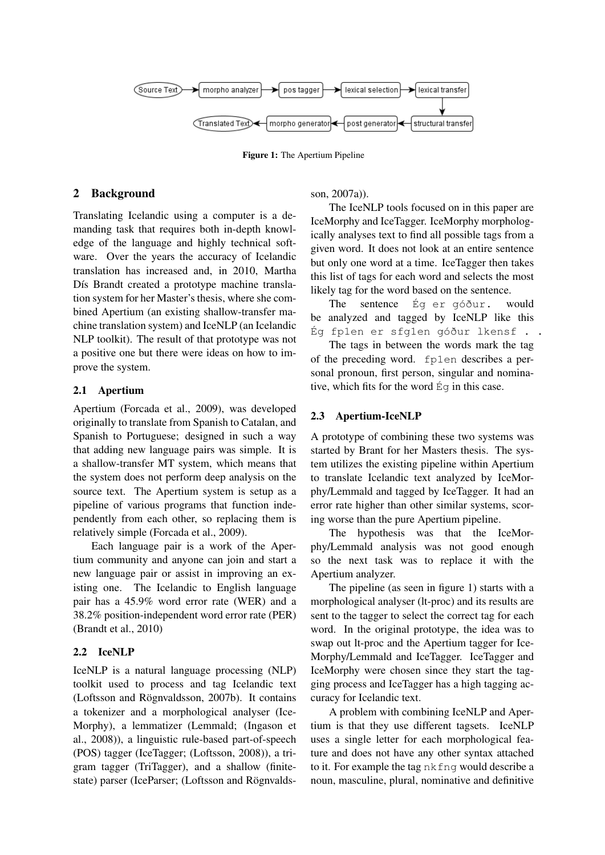

Figure 1: The Apertium Pipeline

## 2 Background

Translating Icelandic using a computer is a demanding task that requires both in-depth knowledge of the language and highly technical software. Over the years the accuracy of Icelandic translation has increased and, in 2010, Martha Dís Brandt created a prototype machine translation system for her Master's thesis, where she combined Apertium (an existing shallow-transfer machine translation system) and IceNLP (an Icelandic NLP toolkit). The result of that prototype was not a positive one but there were ideas on how to improve the system.

## 2.1 Apertium

Apertium (Forcada et al., 2009), was developed originally to translate from Spanish to Catalan, and Spanish to Portuguese; designed in such a way that adding new language pairs was simple. It is a shallow-transfer MT system, which means that the system does not perform deep analysis on the source text. The Apertium system is setup as a pipeline of various programs that function independently from each other, so replacing them is relatively simple (Forcada et al., 2009).

Each language pair is a work of the Apertium community and anyone can join and start a new language pair or assist in improving an existing one. The Icelandic to English language pair has a 45.9% word error rate (WER) and a 38.2% position-independent word error rate (PER) (Brandt et al., 2010)

## 2.2 IceNLP

IceNLP is a natural language processing (NLP) toolkit used to process and tag Icelandic text (Loftsson and Rögnvaldsson, 2007b). It contains a tokenizer and a morphological analyser (Ice-Morphy), a lemmatizer (Lemmald; (Ingason et al., 2008)), a linguistic rule-based part-of-speech (POS) tagger (IceTagger; (Loftsson, 2008)), a trigram tagger (TriTagger), and a shallow (finitestate) parser (IceParser; (Loftsson and Rögnvaldsson, 2007a)).

The IceNLP tools focused on in this paper are IceMorphy and IceTagger. IceMorphy morphologically analyses text to find all possible tags from a given word. It does not look at an entire sentence but only one word at a time. IceTagger then takes this list of tags for each word and selects the most likely tag for the word based on the sentence.

The sentence Ég er góður. would be analyzed and tagged by IceNLP like this Ég fp1en er sfg1en góður lkensf . .

The tags in between the words mark the tag of the preceding word. fp1en describes a personal pronoun, first person, singular and nominative, which fits for the word Ég in this case.

## 2.3 Apertium-IceNLP

A prototype of combining these two systems was started by Brant for her Masters thesis. The system utilizes the existing pipeline within Apertium to translate Icelandic text analyzed by IceMorphy/Lemmald and tagged by IceTagger. It had an error rate higher than other similar systems, scoring worse than the pure Apertium pipeline.

The hypothesis was that the IceMorphy/Lemmald analysis was not good enough so the next task was to replace it with the Apertium analyzer.

The pipeline (as seen in figure 1) starts with a morphological analyser (lt-proc) and its results are sent to the tagger to select the correct tag for each word. In the original prototype, the idea was to swap out lt-proc and the Apertium tagger for Ice-Morphy/Lemmald and IceTagger. IceTagger and IceMorphy were chosen since they start the tagging process and IceTagger has a high tagging accuracy for Icelandic text.

A problem with combining IceNLP and Apertium is that they use different tagsets. IceNLP uses a single letter for each morphological feature and does not have any other syntax attached to it. For example the tag nkfng would describe a noun, masculine, plural, nominative and definitive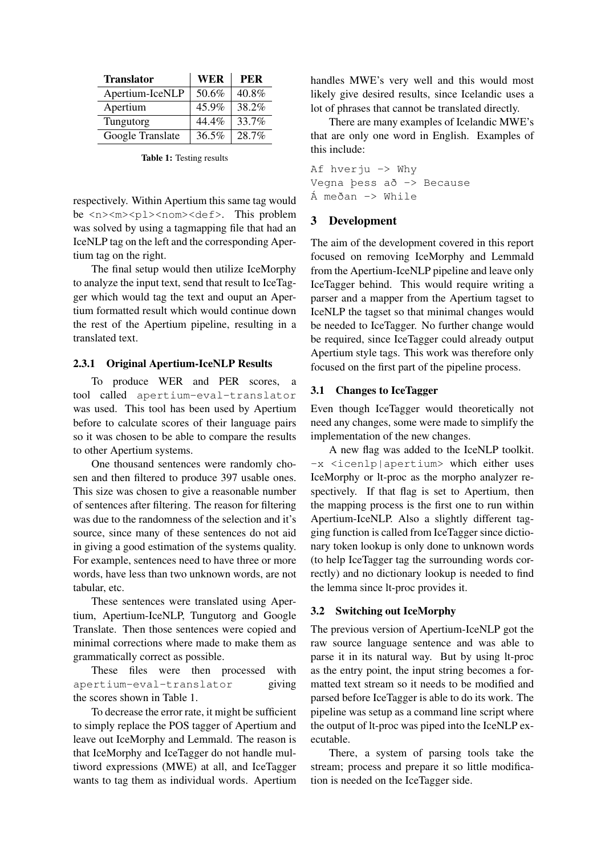| <b>Translator</b> | <b>WER</b> | <b>PER</b> |
|-------------------|------------|------------|
| Apertium-IceNLP   | 50.6%      | 40.8%      |
| Apertium          | 45.9%      | 38.2%      |
| Tungutorg         | 44.4%      | 33.7%      |
| Google Translate  | 36.5%      | 28.7%      |

Table 1: Testing results

respectively. Within Apertium this same tag would be <n><m>>>>>>>>>><nom><def>. This problem was solved by using a tagmapping file that had an IceNLP tag on the left and the corresponding Apertium tag on the right.

The final setup would then utilize IceMorphy to analyze the input text, send that result to IceTagger which would tag the text and ouput an Apertium formatted result which would continue down the rest of the Apertium pipeline, resulting in a translated text.

### 2.3.1 Original Apertium-IceNLP Results

To produce WER and PER scores, a tool called apertium-eval-translator was used. This tool has been used by Apertium before to calculate scores of their language pairs so it was chosen to be able to compare the results to other Apertium systems.

One thousand sentences were randomly chosen and then filtered to produce 397 usable ones. This size was chosen to give a reasonable number of sentences after filtering. The reason for filtering was due to the randomness of the selection and it's source, since many of these sentences do not aid in giving a good estimation of the systems quality. For example, sentences need to have three or more words, have less than two unknown words, are not tabular, etc.

These sentences were translated using Apertium, Apertium-IceNLP, Tungutorg and Google Translate. Then those sentences were copied and minimal corrections where made to make them as grammatically correct as possible.

These files were then processed with apertium-eval-translator giving the scores shown in Table 1.

To decrease the error rate, it might be sufficient to simply replace the POS tagger of Apertium and leave out IceMorphy and Lemmald. The reason is that IceMorphy and IceTagger do not handle multiword expressions (MWE) at all, and IceTagger wants to tag them as individual words. Apertium

handles MWE's very well and this would most likely give desired results, since Icelandic uses a lot of phrases that cannot be translated directly.

There are many examples of Icelandic MWE's that are only one word in English. Examples of this include:

Af hverju -> Why Vegna þess að -> Because Á meðan -> While

## 3 Development

The aim of the development covered in this report focused on removing IceMorphy and Lemmald from the Apertium-IceNLP pipeline and leave only IceTagger behind. This would require writing a parser and a mapper from the Apertium tagset to IceNLP the tagset so that minimal changes would be needed to IceTagger. No further change would be required, since IceTagger could already output Apertium style tags. This work was therefore only focused on the first part of the pipeline process.

### 3.1 Changes to IceTagger

Even though IceTagger would theoretically not need any changes, some were made to simplify the implementation of the new changes.

A new flag was added to the IceNLP toolkit. -x <icenlp|apertium> which either uses IceMorphy or lt-proc as the morpho analyzer respectively. If that flag is set to Apertium, then the mapping process is the first one to run within Apertium-IceNLP. Also a slightly different tagging function is called from IceTagger since dictionary token lookup is only done to unknown words (to help IceTagger tag the surrounding words correctly) and no dictionary lookup is needed to find the lemma since lt-proc provides it.

#### 3.2 Switching out IceMorphy

The previous version of Apertium-IceNLP got the raw source language sentence and was able to parse it in its natural way. But by using lt-proc as the entry point, the input string becomes a formatted text stream so it needs to be modified and parsed before IceTagger is able to do its work. The pipeline was setup as a command line script where the output of lt-proc was piped into the IceNLP executable.

There, a system of parsing tools take the stream; process and prepare it so little modification is needed on the IceTagger side.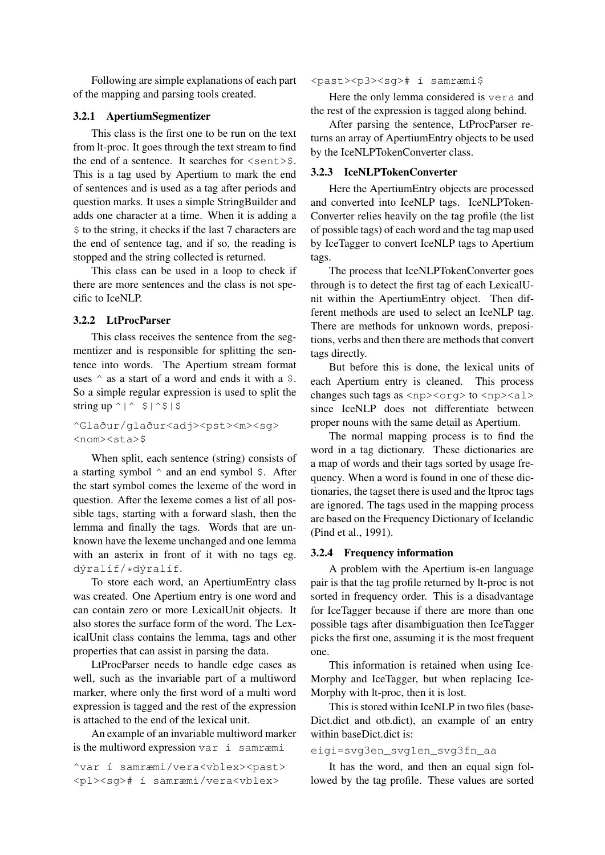Following are simple explanations of each part of the mapping and parsing tools created.

#### 3.2.1 ApertiumSegmentizer

This class is the first one to be run on the text from lt-proc. It goes through the text stream to find the end of a sentence. It searches for  $\le$ sent>\$. This is a tag used by Apertium to mark the end of sentences and is used as a tag after periods and question marks. It uses a simple StringBuilder and adds one character at a time. When it is adding a \$ to the string, it checks if the last 7 characters are the end of sentence tag, and if so, the reading is stopped and the string collected is returned.

This class can be used in a loop to check if there are more sentences and the class is not specific to IceNLP.

#### 3.2.2 LtProcParser

This class receives the sentence from the segmentizer and is responsible for splitting the sentence into words. The Apertium stream format uses  $\hat{ }$  as a start of a word and ends it with a  $\hat{ }$ . So a simple regular expression is used to split the string up  $\wedge$  |  $\wedge$   $\sin \wedge$  |  $\sin \wedge$  |  $\sin \wedge$ 

^Glaður/glaður<adj><pst><m><sg> <nom><sta>\$

When split, each sentence (string) consists of a starting symbol  $\hat{ }$  and an end symbol  $\hat{ }$ . After the start symbol comes the lexeme of the word in question. After the lexeme comes a list of all possible tags, starting with a forward slash, then the lemma and finally the tags. Words that are unknown have the lexeme unchanged and one lemma with an asterix in front of it with no tags eg. dýralíf/\*dýralíf.

To store each word, an ApertiumEntry class was created. One Apertium entry is one word and can contain zero or more LexicalUnit objects. It also stores the surface form of the word. The LexicalUnit class contains the lemma, tags and other properties that can assist in parsing the data.

LtProcParser needs to handle edge cases as well, such as the invariable part of a multiword marker, where only the first word of a multi word expression is tagged and the rest of the expression is attached to the end of the lexical unit.

An example of an invariable multiword marker is the multiword expression var í samræmi

^var í samræmi/vera<vblex><past> <p1><sg># í samræmi/vera<vblex>

#### <past><p3><sg># í samræmi\$

Here the only lemma considered is vera and the rest of the expression is tagged along behind.

After parsing the sentence, LtProcParser returns an array of ApertiumEntry objects to be used by the IceNLPTokenConverter class.

#### 3.2.3 IceNLPTokenConverter

Here the ApertiumEntry objects are processed and converted into IceNLP tags. IceNLPToken-Converter relies heavily on the tag profile (the list of possible tags) of each word and the tag map used by IceTagger to convert IceNLP tags to Apertium tags.

The process that IceNLPTokenConverter goes through is to detect the first tag of each LexicalUnit within the ApertiumEntry object. Then different methods are used to select an IceNLP tag. There are methods for unknown words, prepositions, verbs and then there are methods that convert tags directly.

But before this is done, the lexical units of each Apertium entry is cleaned. This process changes such tags as  $\langle np \rangle \langle \text{org} \rangle$  to  $\langle np \rangle \langle \text{alg} \rangle$ since IceNLP does not differentiate between proper nouns with the same detail as Apertium.

The normal mapping process is to find the word in a tag dictionary. These dictionaries are a map of words and their tags sorted by usage frequency. When a word is found in one of these dictionaries, the tagset there is used and the ltproc tags are ignored. The tags used in the mapping process are based on the Frequency Dictionary of Icelandic (Pind et al., 1991).

#### 3.2.4 Frequency information

A problem with the Apertium is-en language pair is that the tag profile returned by lt-proc is not sorted in frequency order. This is a disadvantage for IceTagger because if there are more than one possible tags after disambiguation then IceTagger picks the first one, assuming it is the most frequent one.

This information is retained when using Ice-Morphy and IceTagger, but when replacing Ice-Morphy with lt-proc, then it is lost.

This is stored within IceNLP in two files (base-Dict.dict and otb.dict), an example of an entry within baseDict.dict is:

### eigi=svg3en\_svg1en\_svg3fn\_aa

It has the word, and then an equal sign followed by the tag profile. These values are sorted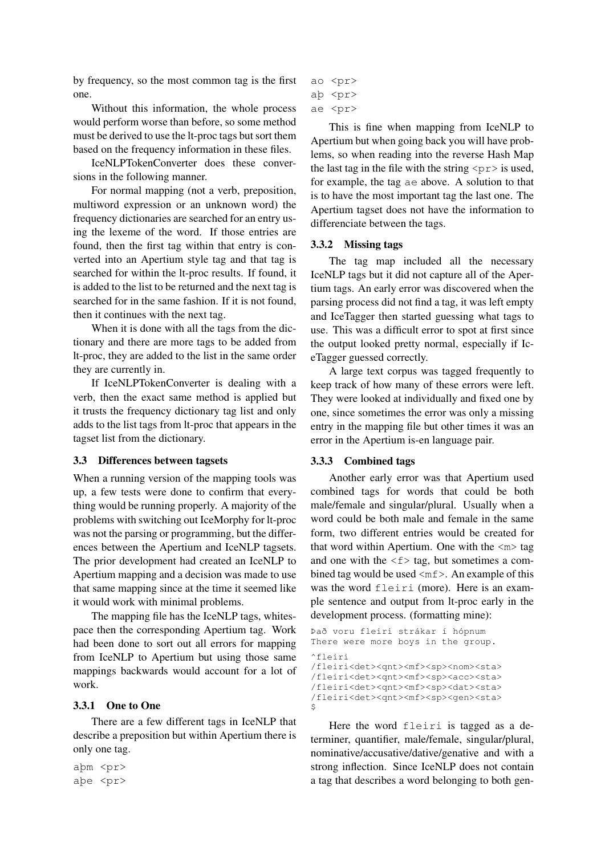by frequency, so the most common tag is the first one.

Without this information, the whole process would perform worse than before, so some method must be derived to use the lt-proc tags but sort them based on the frequency information in these files.

IceNLPTokenConverter does these conversions in the following manner.

For normal mapping (not a verb, preposition, multiword expression or an unknown word) the frequency dictionaries are searched for an entry using the lexeme of the word. If those entries are found, then the first tag within that entry is converted into an Apertium style tag and that tag is searched for within the lt-proc results. If found, it is added to the list to be returned and the next tag is searched for in the same fashion. If it is not found, then it continues with the next tag.

When it is done with all the tags from the dictionary and there are more tags to be added from lt-proc, they are added to the list in the same order they are currently in.

If IceNLPTokenConverter is dealing with a verb, then the exact same method is applied but it trusts the frequency dictionary tag list and only adds to the list tags from lt-proc that appears in the tagset list from the dictionary.

## 3.3 Differences between tagsets

When a running version of the mapping tools was up, a few tests were done to confirm that everything would be running properly. A majority of the problems with switching out IceMorphy for lt-proc was not the parsing or programming, but the differences between the Apertium and IceNLP tagsets. The prior development had created an IceNLP to Apertium mapping and a decision was made to use that same mapping since at the time it seemed like it would work with minimal problems.

The mapping file has the IceNLP tags, whitespace then the corresponding Apertium tag. Work had been done to sort out all errors for mapping from IceNLP to Apertium but using those same mappings backwards would account for a lot of work.

## 3.3.1 One to One

There are a few different tags in IceNLP that describe a preposition but within Apertium there is only one tag.

aþm <pr> aþe <pr>

```
ao <pr>
aþ <pr>
```
ae <pr>

This is fine when mapping from IceNLP to Apertium but when going back you will have problems, so when reading into the reverse Hash Map the last tag in the file with the string  $\langle \text{pr} \rangle$  is used, for example, the tag ae above. A solution to that is to have the most important tag the last one. The Apertium tagset does not have the information to differenciate between the tags.

#### 3.3.2 Missing tags

The tag map included all the necessary IceNLP tags but it did not capture all of the Apertium tags. An early error was discovered when the parsing process did not find a tag, it was left empty and IceTagger then started guessing what tags to use. This was a difficult error to spot at first since the output looked pretty normal, especially if IceTagger guessed correctly.

A large text corpus was tagged frequently to keep track of how many of these errors were left. They were looked at individually and fixed one by one, since sometimes the error was only a missing entry in the mapping file but other times it was an error in the Apertium is-en language pair.

#### 3.3.3 Combined tags

Another early error was that Apertium used combined tags for words that could be both male/female and singular/plural. Usually when a word could be both male and female in the same form, two different entries would be created for that word within Apertium. One with the  $\langle m \rangle$  tag and one with the  $\leq f$  tag, but sometimes a combined tag would be used  $\langle mf \rangle$ . An example of this was the word fleiri (more). Here is an example sentence and output from lt-proc early in the development process. (formatting mine):

```
Það voru fleiri strákar í hópnum
There were more boys in the group.
^fleiri
/fleiri<det><qnt><mf><sp><nom><sta>
/fleiri<det><qnt><mf><sp><acc><sta>
/fleiri<det><qnt><mf><sp><dat><sta>
/fleiri<det><qnt><mf><sp><qen><sta>
$
```
Here the word fleiri is tagged as a determiner, quantifier, male/female, singular/plural, nominative/accusative/dative/genative and with a strong inflection. Since IceNLP does not contain a tag that describes a word belonging to both gen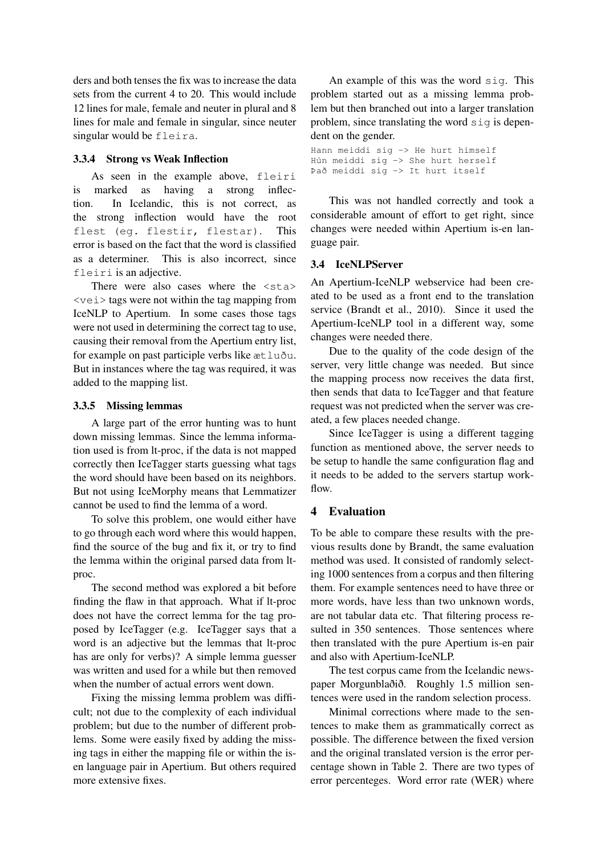ders and both tenses the fix was to increase the data sets from the current 4 to 20. This would include 12 lines for male, female and neuter in plural and 8 lines for male and female in singular, since neuter singular would be fleira.

### 3.3.4 Strong vs Weak Inflection

As seen in the example above, fleiri is marked as having a strong inflection. In Icelandic, this is not correct, as the strong inflection would have the root flest (eg. flestir, flestar). This error is based on the fact that the word is classified as a determiner. This is also incorrect, since fleiri is an adjective.

There were also cases where the  $\langle$ sta> <vei> tags were not within the tag mapping from IceNLP to Apertium. In some cases those tags were not used in determining the correct tag to use, causing their removal from the Apertium entry list, for example on past participle verbs like ætluðu. But in instances where the tag was required, it was added to the mapping list.

## 3.3.5 Missing lemmas

A large part of the error hunting was to hunt down missing lemmas. Since the lemma information used is from lt-proc, if the data is not mapped correctly then IceTagger starts guessing what tags the word should have been based on its neighbors. But not using IceMorphy means that Lemmatizer cannot be used to find the lemma of a word.

To solve this problem, one would either have to go through each word where this would happen, find the source of the bug and fix it, or try to find the lemma within the original parsed data from ltproc.

The second method was explored a bit before finding the flaw in that approach. What if lt-proc does not have the correct lemma for the tag proposed by IceTagger (e.g. IceTagger says that a word is an adjective but the lemmas that lt-proc has are only for verbs)? A simple lemma guesser was written and used for a while but then removed when the number of actual errors went down.

Fixing the missing lemma problem was difficult; not due to the complexity of each individual problem; but due to the number of different problems. Some were easily fixed by adding the missing tags in either the mapping file or within the isen language pair in Apertium. But others required more extensive fixes.

An example of this was the word sig. This problem started out as a missing lemma problem but then branched out into a larger translation problem, since translating the word sig is dependent on the gender.

```
Hann meiddi sig -> He hurt himself
Hún meiddi sig -> She hurt herself
Það meiddi sig -> It hurt itself
```
This was not handled correctly and took a considerable amount of effort to get right, since changes were needed within Apertium is-en language pair.

## 3.4 IceNLPServer

An Apertium-IceNLP webservice had been created to be used as a front end to the translation service (Brandt et al., 2010). Since it used the Apertium-IceNLP tool in a different way, some changes were needed there.

Due to the quality of the code design of the server, very little change was needed. But since the mapping process now receives the data first, then sends that data to IceTagger and that feature request was not predicted when the server was created, a few places needed change.

Since IceTagger is using a different tagging function as mentioned above, the server needs to be setup to handle the same configuration flag and it needs to be added to the servers startup workflow.

## 4 Evaluation

To be able to compare these results with the previous results done by Brandt, the same evaluation method was used. It consisted of randomly selecting 1000 sentences from a corpus and then filtering them. For example sentences need to have three or more words, have less than two unknown words, are not tabular data etc. That filtering process resulted in 350 sentences. Those sentences where then translated with the pure Apertium is-en pair and also with Apertium-IceNLP.

The test corpus came from the Icelandic newspaper Morgunblaðið. Roughly 1.5 million sentences were used in the random selection process.

Minimal corrections where made to the sentences to make them as grammatically correct as possible. The difference between the fixed version and the original translated version is the error percentage shown in Table 2. There are two types of error percenteges. Word error rate (WER) where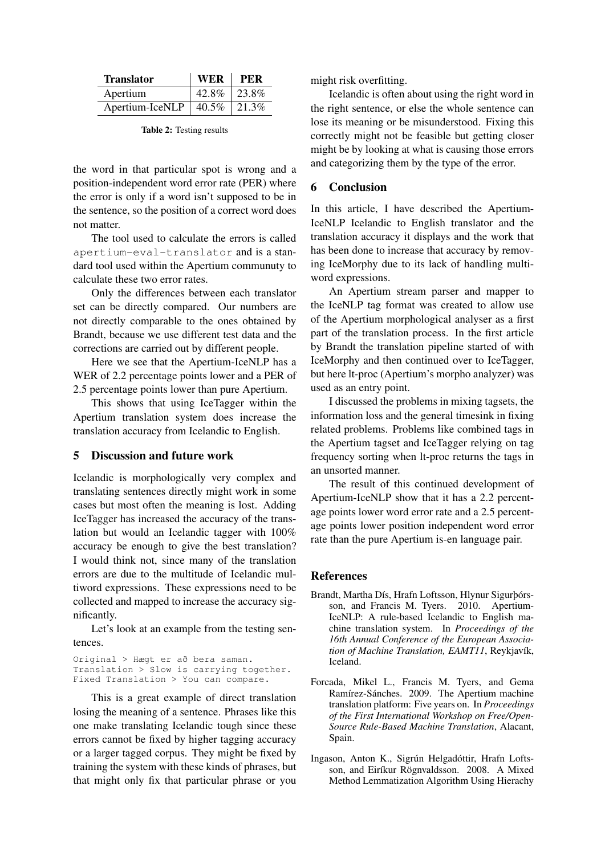| <b>Translator</b> | <b>WER</b> | PER       |
|-------------------|------------|-----------|
| Apertium          | 42.8%      | $123.8\%$ |
| Apertium-IceNLP   | $40.5\%$   | 21.3%     |

Table 2: Testing results

the word in that particular spot is wrong and a position-independent word error rate (PER) where the error is only if a word isn't supposed to be in the sentence, so the position of a correct word does not matter.

The tool used to calculate the errors is called apertium-eval-translator and is a standard tool used within the Apertium communuty to calculate these two error rates.

Only the differences between each translator set can be directly compared. Our numbers are not directly comparable to the ones obtained by Brandt, because we use different test data and the corrections are carried out by different people.

Here we see that the Apertium-IceNLP has a WER of 2.2 percentage points lower and a PER of 2.5 percentage points lower than pure Apertium.

This shows that using IceTagger within the Apertium translation system does increase the translation accuracy from Icelandic to English.

## 5 Discussion and future work

Icelandic is morphologically very complex and translating sentences directly might work in some cases but most often the meaning is lost. Adding IceTagger has increased the accuracy of the translation but would an Icelandic tagger with 100% accuracy be enough to give the best translation? I would think not, since many of the translation errors are due to the multitude of Icelandic multiword expressions. These expressions need to be collected and mapped to increase the accuracy significantly.

Let's look at an example from the testing sentences.

Original > Hægt er að bera saman. Translation > Slow is carrying together. Fixed Translation > You can compare.

This is a great example of direct translation losing the meaning of a sentence. Phrases like this one make translating Icelandic tough since these errors cannot be fixed by higher tagging accuracy or a larger tagged corpus. They might be fixed by training the system with these kinds of phrases, but that might only fix that particular phrase or you

might risk overfitting.

Icelandic is often about using the right word in the right sentence, or else the whole sentence can lose its meaning or be misunderstood. Fixing this correctly might not be feasible but getting closer might be by looking at what is causing those errors and categorizing them by the type of the error.

## 6 Conclusion

In this article, I have described the Apertium-IceNLP Icelandic to English translator and the translation accuracy it displays and the work that has been done to increase that accuracy by removing IceMorphy due to its lack of handling multiword expressions.

An Apertium stream parser and mapper to the IceNLP tag format was created to allow use of the Apertium morphological analyser as a first part of the translation process. In the first article by Brandt the translation pipeline started of with IceMorphy and then continued over to IceTagger, but here lt-proc (Apertium's morpho analyzer) was used as an entry point.

I discussed the problems in mixing tagsets, the information loss and the general timesink in fixing related problems. Problems like combined tags in the Apertium tagset and IceTagger relying on tag frequency sorting when lt-proc returns the tags in an unsorted manner.

The result of this continued development of Apertium-IceNLP show that it has a 2.2 percentage points lower word error rate and a 2.5 percentage points lower position independent word error rate than the pure Apertium is-en language pair.

## References

- Brandt, Martha Dís, Hrafn Loftsson, Hlynur Sigurþórsson, and Francis M. Tyers. 2010. Apertium-IceNLP: A rule-based Icelandic to English machine translation system. In *Proceedings of the 16th Annual Conference of the European Association of Machine Translation, EAMT11*, Reykjavík, Iceland.
- Forcada, Mikel L., Francis M. Tyers, and Gema Ramírez-Sánches. 2009. The Apertium machine translation platform: Five years on. In *Proceedings of the First International Workshop on Free/Open-Source Rule-Based Machine Translation*, Alacant, Spain.
- Ingason, Anton K., Sigrún Helgadóttir, Hrafn Loftsson, and Eiríkur Rögnvaldsson. 2008. A Mixed Method Lemmatization Algorithm Using Hierachy